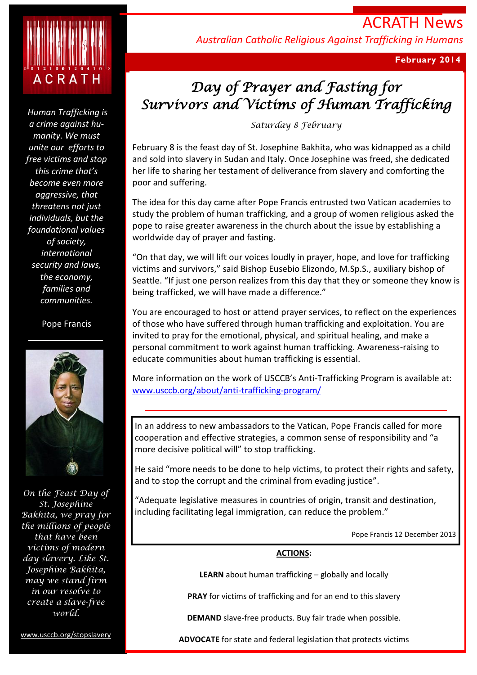

*Human Trafficking is a crime against humanity. We must unite our efforts to free victims and stop this crime that's become even more aggressive, that threatens not just individuals, but the foundational values of society, international security and laws, the economy, families and communities.*

#### Pope Francis



*On the Feast Day of St. Josephine Bakhita, we pray for the millions of people that have been victims of modern day slavery. Like St. Josephine Bakhita, may we stand firm in our resolve to create a slave*‐*free world.* 

www.usccb.org/stopslavery

ACRATH News *Australian Catholic Religious Against Trafficking in Humans*

**February 2014**

# *Day of Prayer and Fasting for Survivors and Victims of Human Trafficking*

*Saturday 8 February*

February 8 is the feast day of St. Josephine Bakhita, who was kidnapped as a child and sold into slavery in Sudan and Italy. Once Josephine was freed, she dedicated her life to sharing her testament of deliverance from slavery and comforting the poor and suffering.

The idea for this day came after Pope Francis entrusted two Vatican academies to study the problem of human trafficking, and a group of women religious asked the pope to raise greater awareness in the church about the issue by establishing a worldwide day of prayer and fasting.

"On that day, we will lift our voices loudly in prayer, hope, and love for trafficking victims and survivors," said Bishop Eusebio Elizondo, M.Sp.S., auxiliary bishop of Seattle. "If just one person realizes from this day that they or someone they know is being trafficked, we will have made a difference."

You are encouraged to host or attend prayer services, to reflect on the experiences of those who have suffered through human trafficking and exploitation. You are invited to pray for the emotional, physical, and spiritual healing, and make a personal commitment to work against human trafficking. Awareness-raising to educate communities about human trafficking is essential.

More information on the work of USCCB's Anti-Trafficking Program is available at: [www.usccb.org/about/anti-trafficking-program/](http://www.usccb.org/about/anti-trafficking-program/)

In an address to new ambassadors to the Vatican, Pope Francis called for more cooperation and effective strategies, a common sense of responsibility and "a more decisive political will" to stop trafficking.

He said "more needs to be done to help victims, to protect their rights and safety, and to stop the corrupt and the criminal from evading justice".

"Adequate legislative measures in countries of origin, transit and destination, including facilitating legal immigration, can reduce the problem."

Pope Francis 12 December 2013

## **ACTIONS:**

**LEARN** about human trafficking – globally and locally

**PRAY** for victims of trafficking and for an end to this slavery

**DEMAND** slave-free products. Buy fair trade when possible.

**ADVOCATE** for state and federal legislation that protects victims